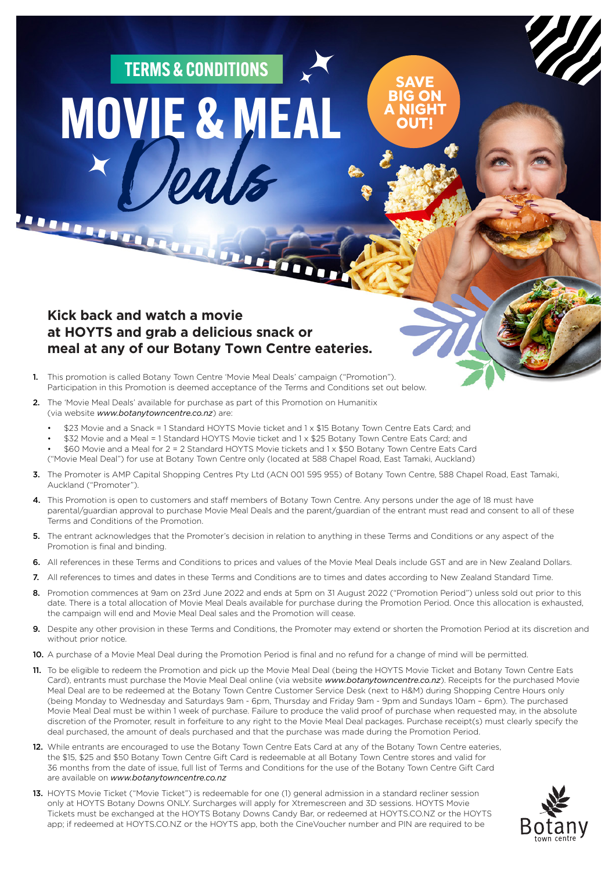## MOVIE & MEAL TERMS & CONDITIONS

**MARIA ANTENER** 

## **Kick back and watch a movie at HOYTS and grab a delicious snack or meal at any of our Botany Town Centre eateries.**

- 1. This promotion is called Botany Town Centre 'Movie Meal Deals' campaign ("Promotion"). Participation in this Promotion is deemed acceptance of the Terms and Conditions set out below.
- 2. The 'Movie Meal Deals' available for purchase as part of this Promotion on Humanitix (via website *www.botanytowncentre.co.nz*) are:
	- \$23 Movie and a Snack = 1 Standard HOYTS Movie ticket and 1 x \$15 Botany Town Centre Eats Card; and

Duin

- \$32 Movie and a Meal = 1 Standard HOYTS Movie ticket and 1 x \$25 Botany Town Centre Eats Card; and
- \$60 Movie and a Meal for 2 = 2 Standard HOYTS Movie tickets and 1 x \$50 Botany Town Centre Eats Card ("Movie Meal Deal") for use at Botany Town Centre only (located at 588 Chapel Road, East Tamaki, Auckland)
- 3. The Promoter is AMP Capital Shopping Centres Pty Ltd (ACN 001 595 955) of Botany Town Centre, 588 Chapel Road, East Tamaki, Auckland ("Promoter").
- 4. This Promotion is open to customers and staff members of Botany Town Centre. Any persons under the age of 18 must have parental/guardian approval to purchase Movie Meal Deals and the parent/guardian of the entrant must read and consent to all of these Terms and Conditions of the Promotion.

**SAVE BIG ON A NIGHT OUT!**

- 5. The entrant acknowledges that the Promoter's decision in relation to anything in these Terms and Conditions or any aspect of the Promotion is final and binding.
- 6. All references in these Terms and Conditions to prices and values of the Movie Meal Deals include GST and are in New Zealand Dollars.
- 7. All references to times and dates in these Terms and Conditions are to times and dates according to New Zealand Standard Time.
- 8. Promotion commences at 9am on 23rd June 2022 and ends at 5pm on 31 August 2022 ("Promotion Period") unless sold out prior to this date. There is a total allocation of Movie Meal Deals available for purchase during the Promotion Period. Once this allocation is exhausted, the campaign will end and Movie Meal Deal sales and the Promotion will cease.
- 9. Despite any other provision in these Terms and Conditions, the Promoter may extend or shorten the Promotion Period at its discretion and without prior notice.
- 10. A purchase of a Movie Meal Deal during the Promotion Period is final and no refund for a change of mind will be permitted.
- 11. To be eligible to redeem the Promotion and pick up the Movie Meal Deal (being the HOYTS Movie Ticket and Botany Town Centre Eats Card), entrants must purchase the Movie Meal Deal online (via website *www.botanytowncentre.co.nz*). Receipts for the purchased Movie Meal Deal are to be redeemed at the Botany Town Centre Customer Service Desk (next to H&M) during Shopping Centre Hours only (being Monday to Wednesday and Saturdays 9am - 6pm, Thursday and Friday 9am - 9pm and Sundays 10am – 6pm). The purchased Movie Meal Deal must be within 1 week of purchase. Failure to produce the valid proof of purchase when requested may, in the absolute discretion of the Promoter, result in forfeiture to any right to the Movie Meal Deal packages. Purchase receipt(s) must clearly specify the deal purchased, the amount of deals purchased and that the purchase was made during the Promotion Period.
- 12. While entrants are encouraged to use the Botany Town Centre Eats Card at any of the Botany Town Centre eateries, the \$15, \$25 and \$50 Botany Town Centre Gift Card is redeemable at all Botany Town Centre stores and valid for 36 months from the date of issue, full list of Terms and Conditions for the use of the Botany Town Centre Gift Card are available on *www.botanytowncentre.co.nz*
- 13. HOYTS Movie Ticket ("Movie Ticket") is redeemable for one (1) general admission in a standard recliner session only at HOYTS Botany Downs ONLY. Surcharges will apply for Xtremescreen and 3D sessions. HOYTS Movie Tickets must be exchanged at the HOYTS Botany Downs Candy Bar, or redeemed at HOYTS.CO.NZ or the HOYTS app; if redeemed at HOYTS.CO.NZ or the HOYTS app, both the CineVoucher number and PIN are required to be